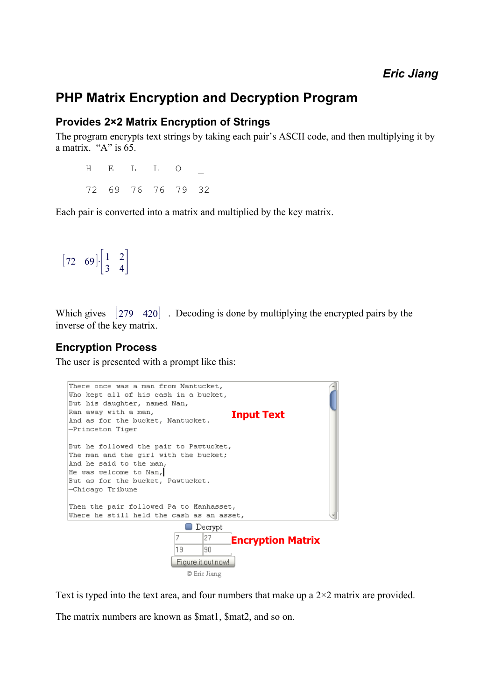# **PHP Matrix Encryption and Decryption Program**

#### **Provides 2×2 Matrix Encryption of Strings**

The program encrypts text strings by taking each pair's ASCII code, and then multiplying it by a matrix " $A$ " is 65.

 $H$  E L L O 72 69 76 76 79 32

Each pair is converted into a matrix and multiplied by the key matrix.

```
\begin{bmatrix} 72 & 69 \end{bmatrix} \begin{bmatrix} 1 & 2 \\ 3 & 4 \end{bmatrix}
```
Which gives  $\begin{bmatrix} 279 & 420 \end{bmatrix}$ . Decoding is done by multiplying the encrypted pairs by the inverse of the key matrix.

#### **Encryption Process**

The user is presented with a prompt like this:



Text is typed into the text area, and four numbers that make up a  $2\times 2$  matrix are provided.

The matrix numbers are known as \$mat1, \$mat2, and so on.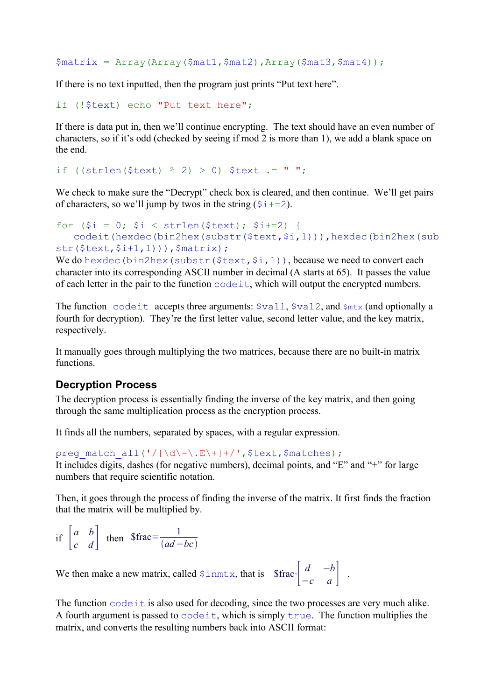```
$matrix = Array(Array($mat1,$mat2),Array($mat3,$mat4));
```
If there is no text inputted, then the program just prints "Put text here".

```
if (!$text) echo "Put text here";
```
If there is data put in, then we'll continue encrypting. The text should have an even number of characters, so if it's odd (checked by seeing if mod 2 is more than 1), we add a blank space on the end.

if ((strlen( $$text$ )  $% 2$ ) > 0)  $$text$   $.7$  ";

We check to make sure the "Decrypt" check box is cleared, and then continue. We'll get pairs of characters, so we'll jump by twos in the string  $(\xi_{\perp}+2)$ .

```
for (\xi i = 0; \xi i < \text{strlen}(\xi text); \xi i += 2)codeit(hexdec(bin2hex(substr($text,$i,1))),hexdec(bin2hex(sub
str($text, $i+1, 1))), $matrix);
```
We do hexdec(bin2hex(substr( $$text, $i, 1)$ ), because we need to convert each character into its corresponding ASCII number in decimal (A starts at 65). It passes the value of each letter in the pair to the function codeit, which will output the encrypted numbers.

The function codeit accepts three arguments:  $\frac{1}{2}$  vall,  $\frac{1}{2}$ , and  $\frac{1}{2}$ , and optionally a fourth for decryption). They're the first letter value, second letter value, and the key matrix, respectively.

It manually goes through multiplying the two matrices, because there are no built-in matrix functions.

#### **Decryption Process**

The decryption process is essentially finding the inverse of the key matrix, and then going through the same multiplication process as the encryption process.

It finds all the numbers, separated by spaces, with a regular expression.

preg\_match\_all('/[\d\-\.E\+]+/',\$text,\$matches); It includes digits, dashes (for negative numbers), decimal points, and "E" and "+" for large numbers that require scientific notation.

Then, it goes through the process of finding the inverse of the matrix. It first finds the fraction that the matrix will be multiplied by.

```
if \begin{vmatrix} a & b \\ c & d \end{vmatrix}\begin{array}{cc} a & b \\ c & d \end{array} then $frac=\frac{1}{(ad - )}ad−bc
```
We then make a new matrix, called  $\sin \pi x$ , that is  $\int \frac{d}{c} \frac{-b}{a}$ 

 $\begin{vmatrix} a & -b \\ -c & a \end{vmatrix}$ .

The function code it is also used for decoding, since the two processes are very much alike. A fourth argument is passed to  $\c{codeit}$ , which is simply  $\text{true}$ . The function multiplies the matrix, and converts the resulting numbers back into ASCII format: